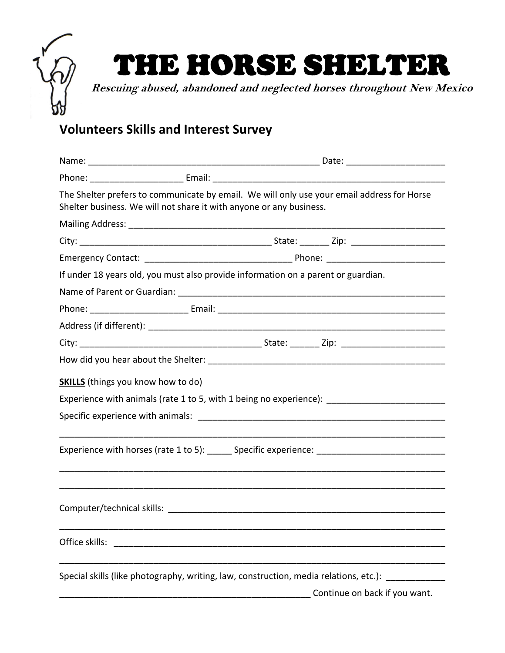## THE HORSE SHELTER **Rescuing abused, abandoned and neglected horses throughout New Mexico**

## **Volunteers Skills and Interest Survey**

|                                           | The Shelter prefers to communicate by email. We will only use your email address for Horse<br>Shelter business. We will not share it with anyone or any business. |  |  |  |  |  |
|-------------------------------------------|-------------------------------------------------------------------------------------------------------------------------------------------------------------------|--|--|--|--|--|
|                                           |                                                                                                                                                                   |  |  |  |  |  |
|                                           |                                                                                                                                                                   |  |  |  |  |  |
|                                           |                                                                                                                                                                   |  |  |  |  |  |
|                                           | If under 18 years old, you must also provide information on a parent or guardian.                                                                                 |  |  |  |  |  |
|                                           |                                                                                                                                                                   |  |  |  |  |  |
|                                           |                                                                                                                                                                   |  |  |  |  |  |
|                                           |                                                                                                                                                                   |  |  |  |  |  |
|                                           |                                                                                                                                                                   |  |  |  |  |  |
|                                           |                                                                                                                                                                   |  |  |  |  |  |
| <b>SKILLS</b> (things you know how to do) |                                                                                                                                                                   |  |  |  |  |  |
|                                           | Experience with animals (rate 1 to 5, with 1 being no experience): ________________________________                                                               |  |  |  |  |  |
|                                           |                                                                                                                                                                   |  |  |  |  |  |
|                                           |                                                                                                                                                                   |  |  |  |  |  |
|                                           | Experience with horses (rate 1 to 5): ______ Specific experience: __________________________________                                                              |  |  |  |  |  |
|                                           |                                                                                                                                                                   |  |  |  |  |  |
|                                           |                                                                                                                                                                   |  |  |  |  |  |
|                                           |                                                                                                                                                                   |  |  |  |  |  |
|                                           |                                                                                                                                                                   |  |  |  |  |  |
|                                           |                                                                                                                                                                   |  |  |  |  |  |
| Office skills:                            |                                                                                                                                                                   |  |  |  |  |  |
|                                           |                                                                                                                                                                   |  |  |  |  |  |
|                                           | Special skills (like photography, writing, law, construction, media relations, etc.):                                                                             |  |  |  |  |  |
|                                           | Continue on back if you want.                                                                                                                                     |  |  |  |  |  |